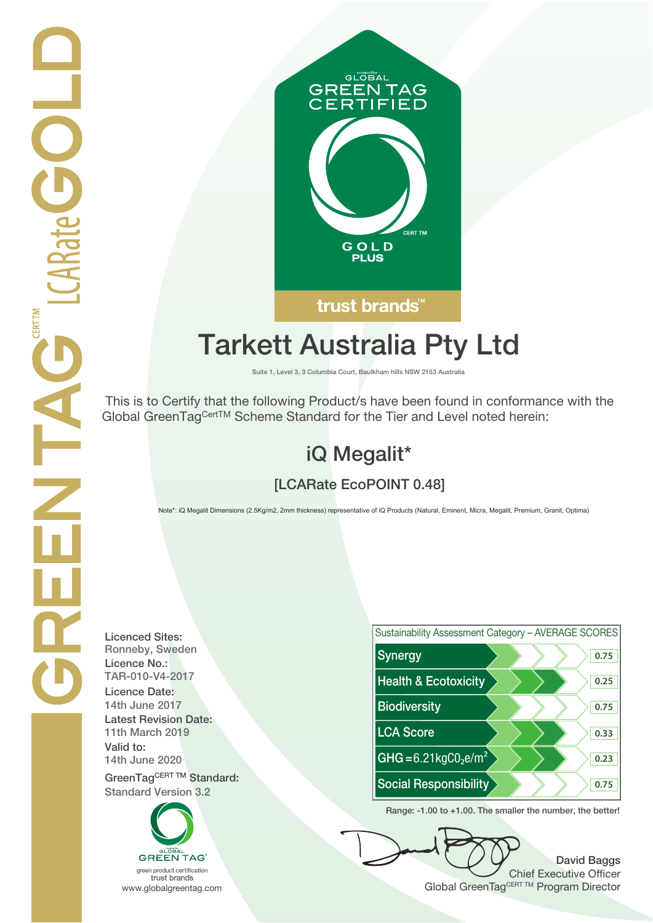

# **Tarkett Australia Pty Ltd**

**Suite 1, Level 3, 3 Columbia Court, Baulkham hills NSW 2153 Australia**

 This is to Certify that the following Product/s have been found in conformance with the Global GreenTagCertTM Scheme Standard for the Tier and Level noted herein:

## **iQ Megalit\***

## **[LCARate EcoPOINT 0.48]**

Note\*: iQ Megalit Dimensions (2.5Kg/m2, 2mm thickness) representative of iQ Products (Natural, Eminent, Micra, Megalit, Premium, Granit, Optima)

**Licenced Sites: Licence No.: Licence Date: Latest Revision Date: Valid to: Standard Version 3.2**

**GREEN TAG** 



**Range: -1.00 to +1.00. The smaller the number, the better!**

**David Baggs** Chief Executive Officer **Global Green Product certification**<br>
trust brands<br>
www.globalgreentag.com Program Director